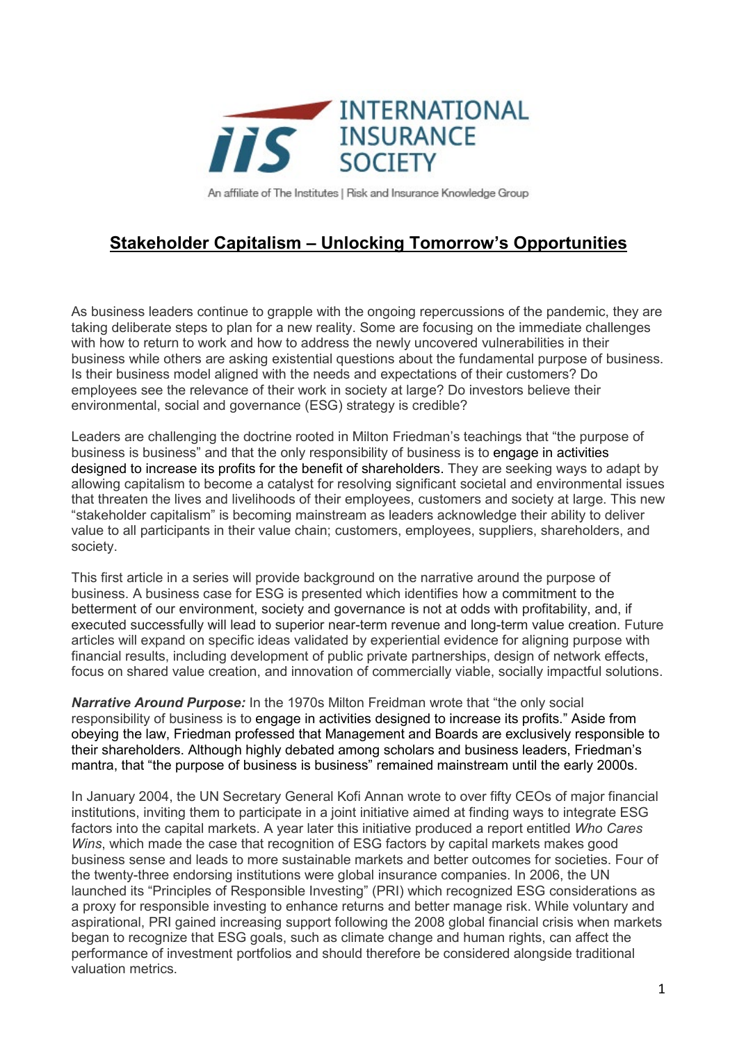

An affiliate of The Institutes | Risk and Insurance Knowledge Group

## **Stakeholder Capitalism – Unlocking Tomorrow's Opportunities**

As business leaders continue to grapple with the ongoing repercussions of the pandemic, they are taking deliberate steps to plan for a new reality. Some are focusing on the immediate challenges with how to return to work and how to address the newly uncovered vulnerabilities in their business while others are asking existential questions about the fundamental purpose of business. Is their business model aligned with the needs and expectations of their customers? Do employees see the relevance of their work in society at large? Do investors believe their environmental, social and governance (ESG) strategy is credible?

Leaders are challenging the doctrine rooted in Milton Friedman's teachings that "the purpose of business is business" and that the only responsibility of business is to engage in activities designed to increase its profits for the benefit of shareholders. They are seeking ways to adapt by allowing capitalism to become a catalyst for resolving significant societal and environmental issues that threaten the lives and livelihoods of their employees, customers and society at large. This new "stakeholder capitalism" is becoming mainstream as leaders acknowledge their ability to deliver value to all participants in their value chain; customers, employees, suppliers, shareholders, and society.

This first article in a series will provide background on the narrative around the purpose of business. A business case for ESG is presented which identifies how a commitment to the betterment of our environment, society and governance is not at odds with profitability, and, if executed successfully will lead to superior near-term revenue and long-term value creation. Future articles will expand on specific ideas validated by experiential evidence for aligning purpose with financial results, including development of public private partnerships, design of network effects, focus on shared value creation, and innovation of commercially viable, socially impactful solutions.

*Narrative Around Purpose:* In the 1970s Milton Freidman wrote that "the only social responsibility of business is to engage in activities designed to increase its profits." Aside from obeying the law, Friedman professed that Management and Boards are exclusively responsible to their shareholders. Although highly debated among scholars and business leaders, Friedman's mantra, that "the purpose of business is business" remained mainstream until the early 2000s.

In January 2004, the UN Secretary General Kofi Annan wrote to over fifty CEOs of major financial institutions, inviting them to participate in a joint initiative aimed at finding ways to integrate ESG factors into the capital markets. A year later this initiative produced a report entitled *Who Cares Wins*, which made the case that recognition of ESG factors by capital markets makes good business sense and leads to more sustainable markets and better outcomes for societies. Four of the twenty-three endorsing institutions were global insurance companies. In 2006, the UN launched its "Principles of Responsible Investing" (PRI) which recognized ESG considerations as a proxy for responsible investing to enhance returns and better manage risk. While voluntary and aspirational, PRI gained increasing support following the 2008 global financial crisis when markets began to recognize that ESG goals, such as climate change and human rights, can affect the performance of investment portfolios and should therefore be considered alongside traditional valuation metrics.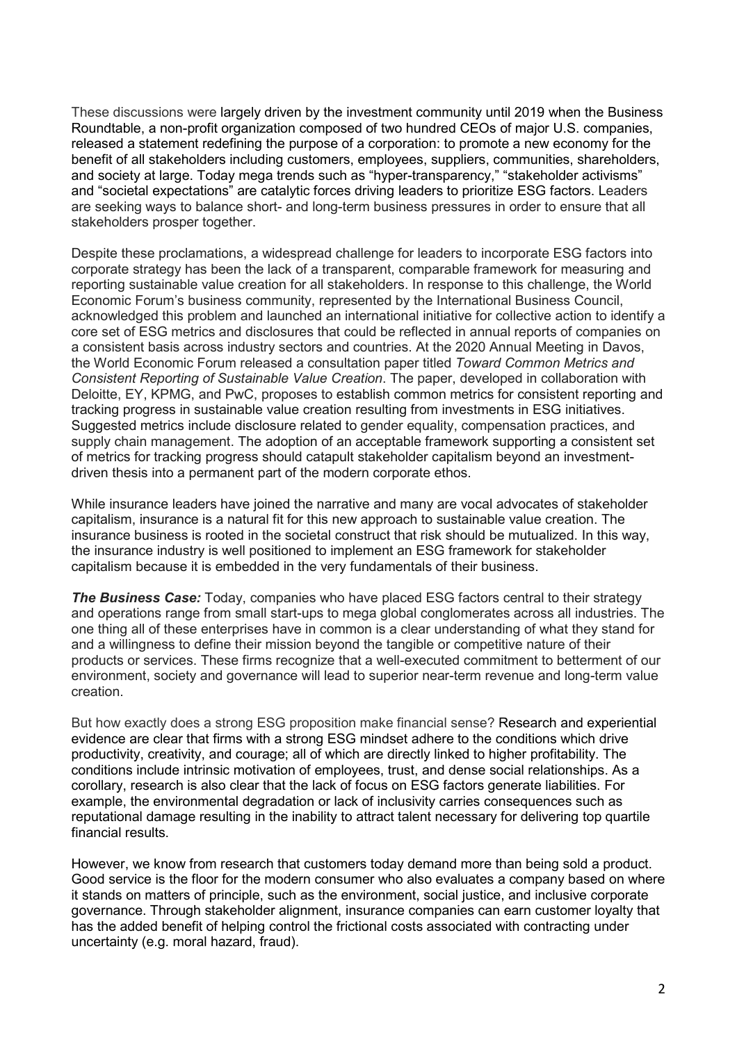These discussions were largely driven by the investment community until 2019 when the Business Roundtable, a non-profit organization composed of two hundred CEOs of major U.S. companies, released a statement redefining the purpose of a corporation: to promote a new economy for the benefit of all stakeholders including customers, employees, suppliers, communities, shareholders, and society at large. Today mega trends such as "hyper-transparency," "stakeholder activisms" and "societal expectations" are catalytic forces driving leaders to prioritize ESG factors. Leaders are seeking ways to balance short- and long-term business pressures in order to ensure that all stakeholders prosper together.

Despite these proclamations, a widespread challenge for leaders to incorporate ESG factors into corporate strategy has been the lack of a transparent, comparable framework for measuring and reporting sustainable value creation for all stakeholders. In response to this challenge, the World Economic Forum's business community, represented by the International Business Council, acknowledged this problem and launched an international initiative for collective action to identify a core set of ESG metrics and disclosures that could be reflected in annual reports of companies on a consistent basis across industry sectors and countries. At the 2020 Annual Meeting in Davos, the World Economic Forum released a consultation paper titled *Toward Common Metrics and Consistent Reporting of Sustainable Value Creation*. The paper, developed in collaboration with Deloitte, EY, KPMG, and PwC, proposes to establish common metrics for consistent reporting and tracking progress in sustainable value creation resulting from investments in ESG initiatives. Suggested metrics include disclosure related to gender equality, compensation practices, and supply chain management. The adoption of an acceptable framework supporting a consistent set of metrics for tracking progress should catapult stakeholder capitalism beyond an investmentdriven thesis into a permanent part of the modern corporate ethos.

While insurance leaders have joined the narrative and many are vocal advocates of stakeholder capitalism, insurance is a natural fit for this new approach to sustainable value creation. The insurance business is rooted in the societal construct that risk should be mutualized. In this way, the insurance industry is well positioned to implement an ESG framework for stakeholder capitalism because it is embedded in the very fundamentals of their business.

*The Business Case:* Today, companies who have placed ESG factors central to their strategy and operations range from small start-ups to mega global conglomerates across all industries. The one thing all of these enterprises have in common is a clear understanding of what they stand for and a willingness to define their mission beyond the tangible or competitive nature of their products or services. These firms recognize that a well-executed commitment to betterment of our environment, society and governance will lead to superior near-term revenue and long-term value creation.

But how exactly does a strong ESG proposition make financial sense? Research and experiential evidence are clear that firms with a strong ESG mindset adhere to the conditions which drive productivity, creativity, and courage; all of which are directly linked to higher profitability. The conditions include intrinsic motivation of employees, trust, and dense social relationships. As a corollary, research is also clear that the lack of focus on ESG factors generate liabilities. For example, the environmental degradation or lack of inclusivity carries consequences such as reputational damage resulting in the inability to attract talent necessary for delivering top quartile financial results.

However, we know from research that customers today demand more than being sold a product. Good service is the floor for the modern consumer who also evaluates a company based on where it stands on matters of principle, such as the environment, social justice, and inclusive corporate governance. Through stakeholder alignment, insurance companies can earn customer loyalty that has the added benefit of helping control the frictional costs associated with contracting under uncertainty (e.g. moral hazard, fraud).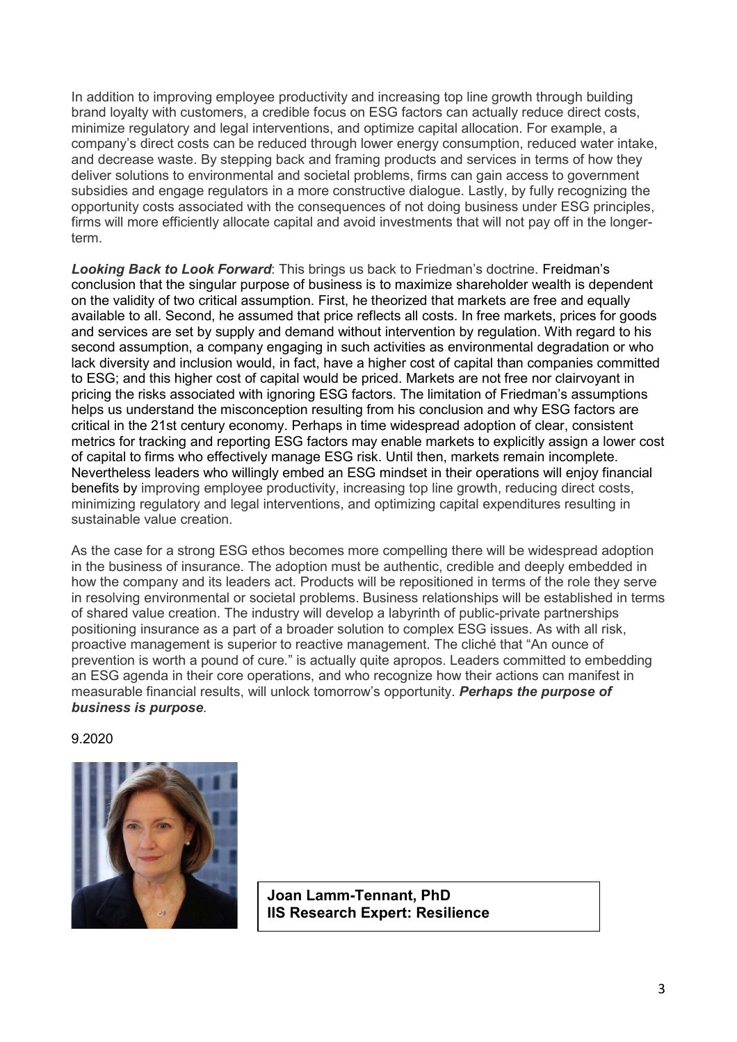In addition to improving employee productivity and increasing top line growth through building brand loyalty with customers, a credible focus on ESG factors can actually reduce direct costs, minimize regulatory and legal interventions, and optimize capital allocation. For example, a company's direct costs can be reduced through lower energy consumption, reduced water intake, and decrease waste. By stepping back and framing products and services in terms of how they deliver solutions to environmental and societal problems, firms can gain access to government subsidies and engage regulators in a more constructive dialogue. Lastly, by fully recognizing the opportunity costs associated with the consequences of not doing business under ESG principles, firms will more efficiently allocate capital and avoid investments that will not pay off in the longerterm.

*Looking Back to Look Forward*: This brings us back to Friedman's doctrine. Freidman's conclusion that the singular purpose of business is to maximize shareholder wealth is dependent on the validity of two critical assumption. First, he theorized that markets are free and equally available to all. Second, he assumed that price reflects all costs. In free markets, prices for goods and services are set by supply and demand without intervention by regulation. With regard to his second assumption, a company engaging in such activities as environmental degradation or who lack diversity and inclusion would, in fact, have a higher cost of capital than companies committed to ESG; and this higher cost of capital would be priced. Markets are not free nor clairvoyant in pricing the risks associated with ignoring ESG factors. The limitation of Friedman's assumptions helps us understand the misconception resulting from his conclusion and why ESG factors are critical in the 21st century economy. Perhaps in time widespread adoption of clear, consistent metrics for tracking and reporting ESG factors may enable markets to explicitly assign a lower cost of capital to firms who effectively manage ESG risk. Until then, markets remain incomplete. Nevertheless leaders who willingly embed an ESG mindset in their operations will enjoy financial benefits by improving employee productivity, increasing top line growth, reducing direct costs, minimizing regulatory and legal interventions, and optimizing capital expenditures resulting in sustainable value creation.

As the case for a strong ESG ethos becomes more compelling there will be widespread adoption in the business of insurance. The adoption must be authentic, credible and deeply embedded in how the company and its leaders act. Products will be repositioned in terms of the role they serve in resolving environmental or societal problems. Business relationships will be established in terms of shared value creation. The industry will develop a labyrinth of public-private partnerships positioning insurance as a part of a broader solution to complex ESG issues. As with all risk, proactive management is superior to reactive management. The cliché that "An ounce of prevention is worth a pound of cure." is actually quite apropos. Leaders committed to embedding an ESG agenda in their core operations, and who recognize how their actions can manifest in measurable financial results, will unlock tomorrow's opportunity. *Perhaps the purpose of business is purpose.*

9.2020



**Joan Lamm-Tennant, PhD IIS Research Expert: Resilience**